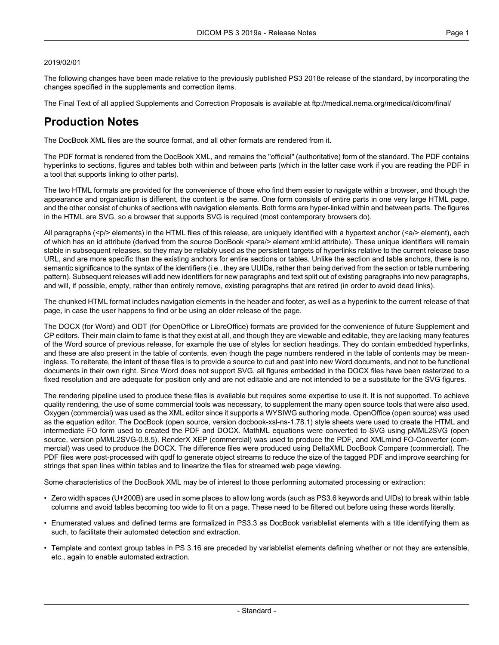#### 2019/02/01

The following changes have been made relative to the previously published PS3 2018e release of the standard, by incorporating the changes specified in the supplements and correction items.

The Final Text of all applied Supplements and Correction Proposals is available at <ftp://medical.nema.org/medical/dicom/final/>

# **Production Notes**

The DocBook XML files are the source format, and all other formats are rendered from it.

The PDF format is rendered from the DocBook XML, and remains the "official" (authoritative) form of the standard. The PDF contains hyperlinks to sections, figures and tables both within and between parts (which in the latter case work if you are reading the PDF in a tool that supports linking to other parts).

The two HTML formats are provided for the convenience of those who find them easier to navigate within a browser, and though the appearance and organization is different, the content is the same. One form consists of entire parts in one very large HTML page, and the other consist of chunks of sections with navigation elements. Both forms are hyper-linked within and between parts. The figures in the HTML are SVG, so a browser that supports SVG is required (most contemporary browsers do).

All paragraphs (<p/> elements) in the HTML files of this release, are uniquely identified with a hypertext anchor (<a/><a/>> element), each of which has an id attribute (derived from the source DocBook <para/> element xml:id attribute). These unique identifiers will remain stable in subsequent releases, so they may be reliably used as the persistent targets of hyperlinks relative to the current release base URL, and are more specific than the existing anchors for entire sections or tables. Unlike the section and table anchors, there is no semantic significance to the syntax of the identifiers (i.e., they are UUIDs, rather than being derived from the section or table numbering pattern). Subsequent releases will add new identifiers for new paragraphs and text split out of existing paragraphs into new paragraphs, and will, if possible, empty, rather than entirely remove, existing paragraphs that are retired (in order to avoid dead links).

The chunked HTML format includes navigation elements in the header and footer, as well as a hyperlink to the current release of that page, in case the user happens to find or be using an older release of the page.

The DOCX (for Word) and ODT (for OpenOffice or LibreOffice) formats are provided for the convenience of future Supplement and CP editors. Their main claim to fame is that they exist at all, and though they are viewable and editable, they are lacking many features of the Word source of previous release, for example the use of styles for section headings. They do contain embedded hyperlinks, and these are also present in the table of contents, even though the page numbers rendered in the table of contents may be mean ingless. To reiterate, the intent of these files is to provide a source to cut and past into new Word documents, and not to be functional documents in their own right. Since Word does not support SVG, all figures embedded in the DOCX files have been rasterized to a fixed resolution and are adequate for position only and are not editable and are not intended to be a substitute for the SVG figures.

The rendering pipeline used to produce these files is available but requires some expertise to use it. It is not supported. To achieve quality rendering, the use of some commercial tools was necessary, to supplement the many open source tools that were also used. Oxygen (commercial) was used as the XML editor since it supports a WYSIWG authoring mode. OpenOffice (open source) was used as the equation editor. The DocBook (open source, version docbook-xsl-ns-1.78.1) style sheets were used to create the HTML and intermediate FO form used to created the PDF and DOCX. MathML equations were converted to SVG using pMML2SVG (open source, version pMML2SVG-0.8.5). RenderX XEP (commercial) was used to produce the PDF, and XMLmind FO-Converter (com mercial) was used to produce the DOCX. The difference files were produced using DeltaXML DocBook Compare (commercial). The PDF files were post-processed with qpdf to generate object streams to reduce the size of the tagged PDF and improve searching for strings that span lines within tables and to linearize the files for streamed web page viewing.

Some characteristics of the DocBook XML may be of interest to those performing automated processing or extraction:

- Zero width spaces (U+200B) are used in some places to allow long words (such as PS3.6 keywords and UIDs) to break within table columns and avoid tables becoming too wide to fit on a page. These need to be filtered out before using these words literally.
- Enumerated values and defined terms are formalized in PS3.3 as DocBook variablelist elements with a title identifying them as such, to facilitate their automated detection and extraction.
- Template and context group tables in PS 3.16 are preceded by variablelist elements defining whether or not they are extensible, etc., again to enable automated extraction.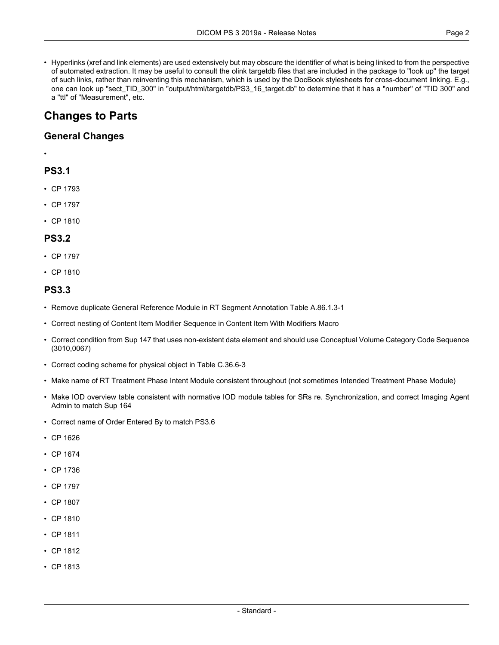• Hyperlinks (xref and link elements) are used extensively but may obscure the identifier of what is being linked to from the perspective of automated extraction. It may be useful to consult the olink targetdb files that are included in the package to "look up" the target of such links, rather than reinventing this mechanism, which is used by the DocBook stylesheets for cross-document linking. E.g., one can look up "sect\_TID\_300" in "output/html/targetdb/PS3\_16\_target.db" to determine that it has a "number" of "TID 300" and a "ttl" of "Measurement", etc.

# **Changes to Parts**

# **General Changes**

#### •

# **PS3.1**

- CP [1793](#page-5-0)
- CP [1797](#page-5-1)
- CP [1810](#page-5-2)

#### **PS3.2**

- CP [1797](#page-5-1)
- CP [1810](#page-5-2)

### **PS3.3**

- Remove duplicate General Reference Module in RT Segment Annotation Table A.86.1.3-1
- Correct nesting of Content Item Modifier Sequence in Content Item With Modifiers Macro
- Correct condition from Sup 147 that uses non-existent data element and should use Conceptual Volume Category Code Sequence (3010,0067)
- Correct coding scheme for physical object in Table C.36.6-3
- Make name of RT Treatment Phase Intent Module consistent throughout (not sometimes Intended Treatment Phase Module)
- Make IOD overview table consistent with normative IOD module tables for SRs re. Synchronization, and correct Imaging Agent Admin to match Sup 164
- Correct name of Order Entered By to match PS3.6
- CP [1626](#page-5-3)
- CP [1674](#page-5-4)
- CP [1736](#page-5-5)
- CP [1797](#page-5-1)
- CP [1807](#page-5-6)
- CP [1810](#page-5-2)
- CP [1811](#page-6-0)
- CP [1812](#page-6-1)
- CP [1813](#page-6-2)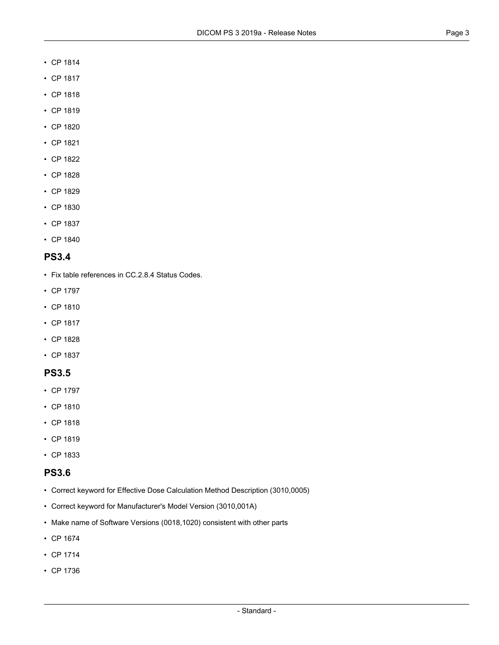- CP [1814](#page-6-3)
- CP [1817](#page-6-4)
- CP [1818](#page-6-5)
- CP [1819](#page-6-6)
- CP [1820](#page-6-7)
- CP [1821](#page-6-8)
- CP [1822](#page-6-9)
- CP [1828](#page-6-10)
- CP [1829](#page-6-11)
- CP [1830](#page-6-12)
- CP [1837](#page-6-13)
- CP [1840](#page-6-14)

- Fix table references in CC.2.8.4 Status Codes.
- CP [1797](#page-5-1)
- CP [1810](#page-5-2)
- CP [1817](#page-6-4)
- CP [1828](#page-6-10)
- CP [1837](#page-6-13)

#### **PS3.5**

- CP [1797](#page-5-1)
- CP [1810](#page-5-2)
- CP [1818](#page-6-5)
- CP [1819](#page-6-6)
- CP [1833](#page-6-15)

# **PS3.6**

- Correct keyword for Effective Dose Calculation Method Description (3010,0005)
- Correct keyword for Manufacturer's Model Version (3010,001A)
- Make name of Software Versions (0018,1020) consistent with other parts
- CP [1674](#page-5-4)
- CP [1714](#page-5-7)
- CP [1736](#page-5-5)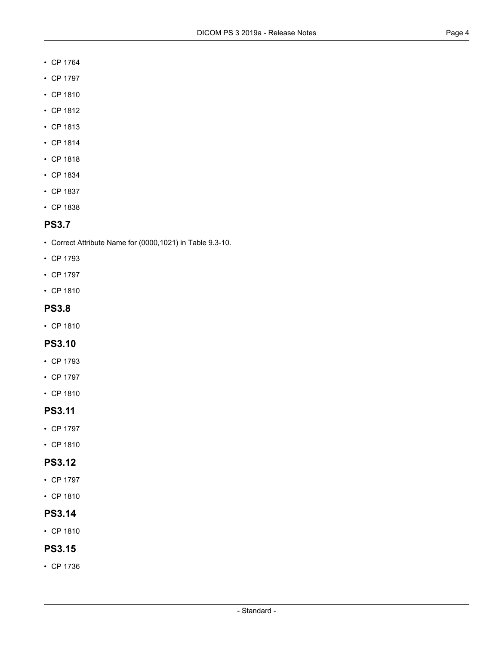- CP [1764](#page-5-8)
- CP [1797](#page-5-1)
- CP [1810](#page-5-2)
- CP [1812](#page-6-1)
- CP [1813](#page-6-2)
- CP [1814](#page-6-3)
- CP [1818](#page-6-5)
- CP [1834](#page-6-16)
- CP [1837](#page-6-13)
- CP [1838](#page-6-17)

- Correct Attribute Name for (0000,1021) in Table 9.3-10.
- CP [1793](#page-5-0)
- CP [1797](#page-5-1)
- CP [1810](#page-5-2)

#### **PS3.8**

• CP [1810](#page-5-2)

# **PS3.10**

- CP [1793](#page-5-0)
- CP [1797](#page-5-1)
- CP [1810](#page-5-2)

#### **PS3.11**

- CP [1797](#page-5-1)
- CP [1810](#page-5-2)

# **PS3.12**

- CP [1797](#page-5-1)
- CP [1810](#page-5-2)

#### **PS3.14**

• CP [1810](#page-5-2)

### **PS3.15**

• CP [1736](#page-5-5)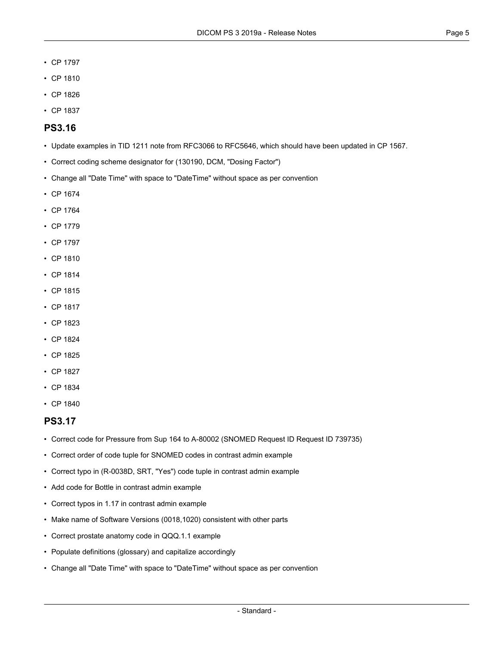- CP [1797](#page-5-1)
- CP [1810](#page-5-2)
- CP [1826](#page-6-18)
- CP [1837](#page-6-13)

- Update examples in TID 1211 note from RFC3066 to RFC5646, which should have been updated in CP 1567.
- Correct coding scheme designator for (130190, DCM, "Dosing Factor")
- Change all "Date Time" with space to "DateTime" without space as per convention
- CP [1674](#page-5-4)
- CP [1764](#page-5-8)
- CP [1779](#page-5-9)
- CP [1797](#page-5-1)
- CP [1810](#page-5-2)
- CP [1814](#page-6-3)
- CP [1815](#page-6-19)
- CP [1817](#page-6-4)
- CP [1823](#page-6-20)
- CP [1824](#page-6-21)
- CP [1825](#page-6-22)
- CP [1827](#page-6-23)
- CP [1834](#page-6-16)
- CP [1840](#page-6-14)

#### **PS3.17**

- Correct code for Pressure from Sup 164 to A-80002 (SNOMED Request ID Request ID 739735)
- Correct order of code tuple for SNOMED codes in contrast admin example
- Correct typo in (R-0038D, SRT, "Yes") code tuple in contrast admin example
- Add code for Bottle in contrast admin example
- Correct typos in 1.17 in contrast admin example
- Make name of Software Versions (0018,1020) consistent with other parts
- Correct prostate anatomy code in QQQ.1.1 example
- Populate definitions (glossary) and capitalize accordingly
- Change all "Date Time" with space to "DateTime" without space as per convention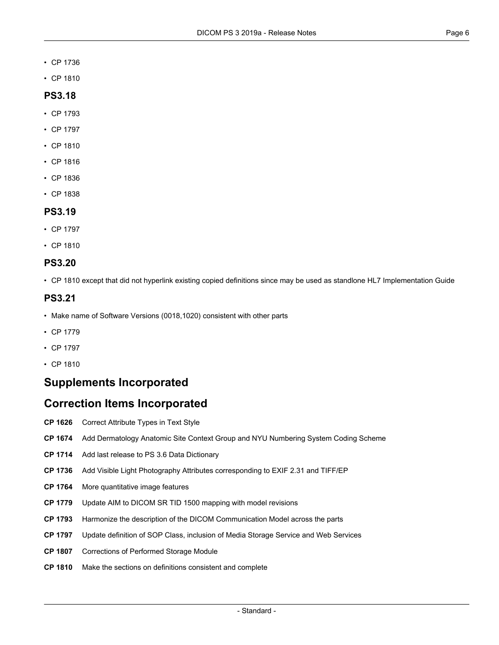- CP [1736](#page-5-5)
- CP [1810](#page-5-2)

- CP [1793](#page-5-0)
- CP [1797](#page-5-1)
- CP [1810](#page-5-2)
- CP [1816](#page-6-24)
- CP [1836](#page-6-25)
- CP [1838](#page-6-17)

#### **PS3.19**

- CP [1797](#page-5-1)
- CP [1810](#page-5-2)

#### **PS3.20**

• CP [1810](#page-5-2) except that did not hyperlink existing copied definitions since may be used as standlone HL7 Implementation Guide

# **PS3.21**

- Make name of Software Versions (0018,1020) consistent with other parts
- CP [1779](#page-5-9)
- CP [1797](#page-5-1)
- CP [1810](#page-5-2)

# <span id="page-5-3"></span>**Supplements Incorporated**

# <span id="page-5-7"></span><span id="page-5-4"></span>**Correction Items Incorporated**

- <span id="page-5-5"></span>**CP [1626](ftp://medical.nema.org/medical/dicom/final/cp1626_ft_TextStyleAttributeType.pdf)** Correct Attribute Types in Text Style
- <span id="page-5-8"></span>**CP [1674](ftp://medical.nema.org/medical/dicom/final/cp1674_ft_nyuskinlesionnumbering.pdf)** Add Dermatology Anatomic Site Context Group and NYU Numbering System Coding Scheme
- <span id="page-5-9"></span>**CP [1714](ftp://medical.nema.org/medical/dicom/final/cp1714_ft_includetagretirement.pdf)** Add last release to PS 3.6 Data Dictionary
- <span id="page-5-0"></span>**CP [1736](ftp://medical.nema.org/medical/dicom/final/cp1736_ft_EXIF.pdf)** Add Visible Light Photography Attributes corresponding to EXIF 2.31 and TIFF/EP
- <span id="page-5-1"></span>**CP [1764](ftp://medical.nema.org/medical/dicom/final/cp1764_ft_moreimagefeatures.pdf)** More quantitative image features
- <span id="page-5-6"></span>**CP [1779](ftp://medical.nema.org/medical/dicom/final/cp1779_ft_updatetid1500aimmappingwith41revisions.pdf)** Update AIM to DICOM SR TID 1500 mapping with model revisions
- <span id="page-5-2"></span>**CP [1793](ftp://medical.nema.org/medical/dicom/final/cp1793_ft_Harmonize_the_description_of_the_DICOM_Communication_Model.pdf)** Harmonize the description of the DICOM Communication Model across the parts
- **CP [1797](ftp://medical.nema.org/medical/dicom/final/cp1797_ft_updatedefinitionofSOPClass.pdf)** Update definition of SOP Class, inclusion of Media Storage Service and Web Services
- **CP [1807](ftp://medical.nema.org/medical/dicom/final/cp1807_ft_Corrections_of_Performed_Storage_Module.pdf)** Corrections of Performed Storage Module
- **CP [1810](ftp://medical.nema.org/medical/dicom/final/cp1810_ft_makesectionsondefinitionsconsistentandcomplete.pdf)** Make the sections on definitions consistent and complete